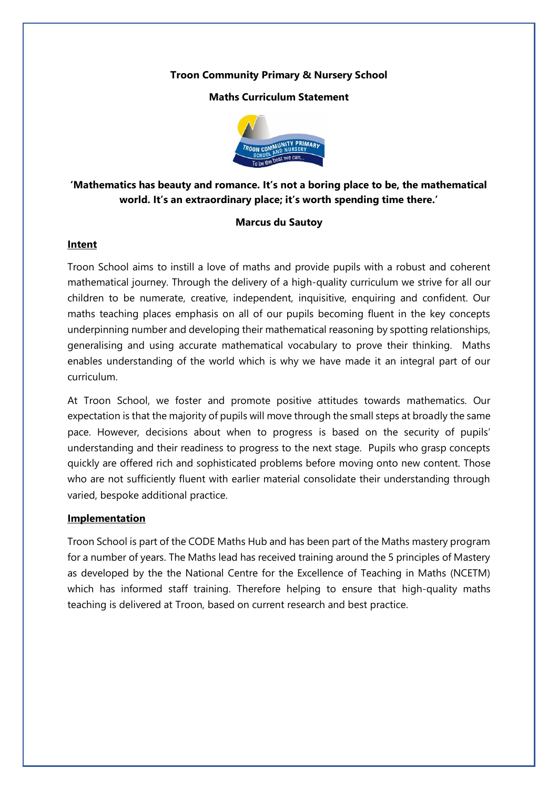## **Troon Community Primary & Nursery School**

### **Maths Curriculum Statement**



# **'Mathematics has beauty and romance. It's not a boring place to be, the mathematical world. It's an extraordinary place; it's worth spending time there.'**

#### **Marcus du Sautoy**

#### **Intent**

Troon School aims to instill a love of maths and provide pupils with a robust and coherent mathematical journey. Through the delivery of a high-quality curriculum we strive for all our children to be numerate, creative, independent, inquisitive, enquiring and confident. Our maths teaching places emphasis on all of our pupils becoming fluent in the key concepts underpinning number and developing their mathematical reasoning by spotting relationships, generalising and using accurate mathematical vocabulary to prove their thinking. Maths enables understanding of the world which is why we have made it an integral part of our curriculum.

At Troon School, we foster and promote positive attitudes towards mathematics. Our expectation is that the majority of pupils will move through the small steps at broadly the same pace. However, decisions about when to progress is based on the security of pupils' understanding and their readiness to progress to the next stage. Pupils who grasp concepts quickly are offered rich and sophisticated problems before moving onto new content. Those who are not sufficiently fluent with earlier material consolidate their understanding through varied, bespoke additional practice.

## **Implementation**

Troon School is part of the CODE Maths Hub and has been part of the Maths mastery program for a number of years. The Maths lead has received training around the 5 principles of Mastery as developed by the the National Centre for the Excellence of Teaching in Maths (NCETM) which has informed staff training. Therefore helping to ensure that high-quality maths teaching is delivered at Troon, based on current research and best practice.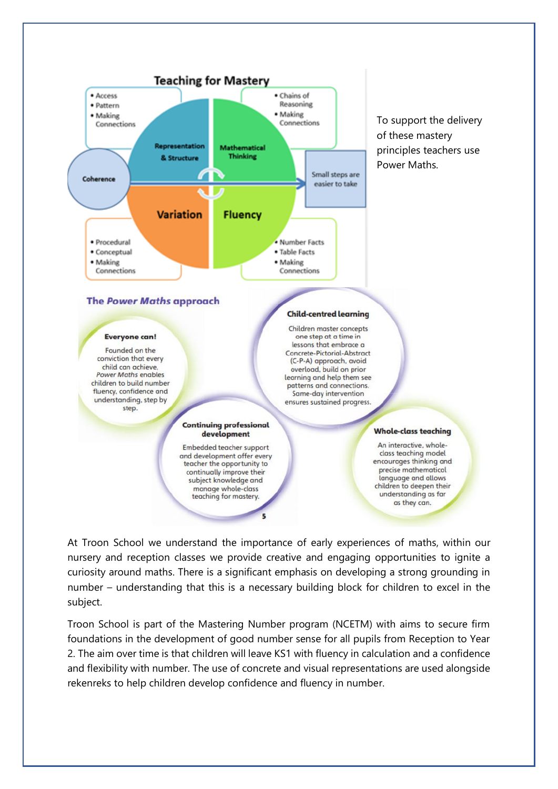

At Troon School we understand the importance of early experiences of maths, within our nursery and reception classes we provide creative and engaging opportunities to ignite a curiosity around maths. There is a significant emphasis on developing a strong grounding in number – understanding that this is a necessary building block for children to excel in the subject.

Troon School is part of the Mastering Number program (NCETM) with aims to secure firm foundations in the development of good number sense for all pupils from Reception to Year 2. The aim over time is that children will leave KS1 with fluency in calculation and a confidence and flexibility with number. The use of concrete and visual representations are used alongside rekenreks to help children develop confidence and fluency in number.